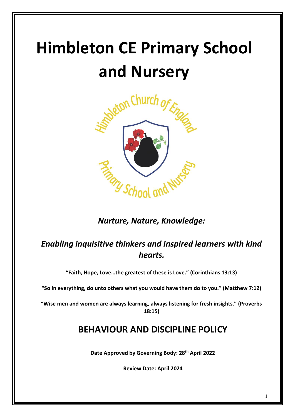# **Himbleton CE Primary School and Nursery**



### *Nurture, Nature, Knowledge:*

## *Enabling inquisitive thinkers and inspired learners with kind hearts.*

**"Faith, Hope, Love…the greatest of these is Love." (Corinthians 13:13)**

**"So in everything, do unto others what you would have them do to you." (Matthew 7:12)**

**"Wise men and women are always learning, always listening for fresh insights." (Proverbs 18:15)**

## **BEHAVIOUR AND DISCIPLINE POLICY**

**Date Approved by Governing Body: 28th April 2022**

**Review Date: April 2024**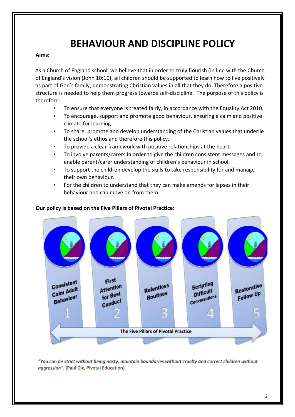## **BEHAVIOUR AND DISCIPLINE POLICY**

#### **Aims:**

As a Church of England school, we believe that in order to truly flourish (in line with the Church of England's vision (John 10:10), all children should be supported to learn how to live positively as part of God's family, demonstrating Christian values in all that they do. Therefore a positive structure is needed to help them progress towards self-discipline. The purpose of this policy is therefore:

- To ensure that everyone is treated fairly, in accordance with the Equality Act 2010.
- To encourage, support and promote good behaviour, ensuring a calm and positive climate for learning.
- To share, promote and develop understanding of the Christian values that underlie the school's ethos and therefore this policy.
- To provide a clear framework with positive relationships at the heart.
- To involve parents/carers in order to give the children consistent messages and to enable parent/carer understanding of children's behaviour in school.
- To support the children develop the skills to take responsibility for and manage their own behaviour.
- For the children to understand that they can make amends for lapses in their behaviour and can move on from them.

#### **Our policy is based on the Five Pillars of Pivotal Practice:**



"You can be strict without being nasty, maintain boundaries without cruelty and correct children without aggression". (Paul Dix, Pivotal Education)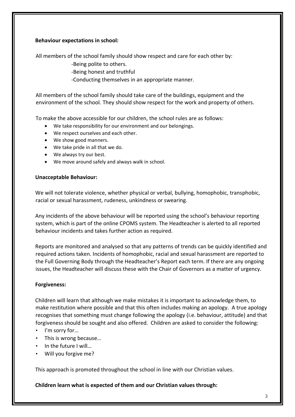#### **Behaviour expectations in school:**

All members of the school family should show respect and care for each other by:

-Being polite to others.

-Being honest and truthful

-Conducting themselves in an appropriate manner.

All members of the school family should take care of the buildings, equipment and the environment of the school. They should show respect for the work and property of others.

To make the above accessible for our children, the school rules are as follows:

- We take responsibility for our environment and our belongings.
- We respect ourselves and each other.
- We show good manners.
- We take pride in all that we do.
- We always try our best.
- We move around safely and always walk in school.

#### **Unacceptable Behaviour:**

We will not tolerate violence, whether physical or verbal, bullying, homophobic, transphobic, racial or sexual harassment, rudeness, unkindness or swearing.

Any incidents of the above behaviour will be reported using the school's behaviour reporting system, which is part of the online CPOMS system. The Headteacher is alerted to all reported behaviour incidents and takes further action as required.

Reports are monitored and analysed so that any patterns of trends can be quickly identified and required actions taken. Incidents of homophobic, racial and sexual harassment are reported to the Full Governing Body through the Headteacher's Report each term. If there are any ongoing issues, the Headteacher will discuss these with the Chair of Governors as a matter of urgency.

#### **Forgiveness:**

Children will learn that although we make mistakes it is important to acknowledge them, to make restitution where possible and that this often includes making an apology. A true apology recognises that something must change following the apology (i.e. behaviour, attitude) and that forgiveness should be sought and also offered. Children are asked to consider the following:

- I'm sorry for…
- This is wrong because…
- In the future I will...
- Will you forgive me?

This approach is promoted throughout the school in line with our Christian values.

**Children learn what is expected of them and our Christian values through:**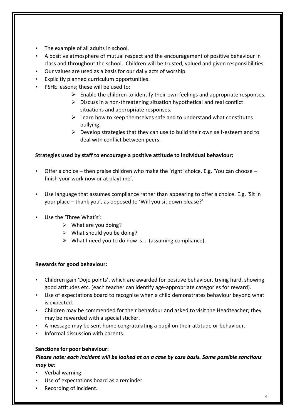- The example of all adults in school.
- A positive atmosphere of mutual respect and the encouragement of positive behaviour in class and throughout the school. Children will be trusted, valued and given responsibilities.
- Our values are used as a basis for our daily acts of worship.
- Explicitly planned curriculum opportunities.
- PSHE lessons; these will be used to:
	- $\triangleright$  Enable the children to identify their own feelings and appropriate responses.
	- $\triangleright$  Discuss in a non-threatening situation hypothetical and real conflict situations and appropriate responses.
	- $\triangleright$  Learn how to keep themselves safe and to understand what constitutes bullying.
	- ➢ Develop strategies that they can use to build their own self-esteem and to deal with conflict between peers.

#### **Strategies used by staff to encourage a positive attitude to individual behaviour:**

- Offer a choice then praise children who make the 'right' choice. E.g. 'You can choose finish your work now or at playtime'.
- Use language that assumes compliance rather than appearing to offer a choice. E.g. 'Sit in your place – thank you', as opposed to 'Will you sit down please?'
- Use the 'Three What's':
	- ➢ What are you doing?
	- $\triangleright$  What should you be doing?
	- ➢ What I need you to do now is… (assuming compliance).

#### **Rewards for good behaviour:**

- Children gain 'Dojo points', which are awarded for positive behaviour, trying hard, showing good attitudes etc. (each teacher can identify age-appropriate categories for reward).
- Use of expectations board to recognise when a child demonstrates behaviour beyond what is expected.
- Children may be commended for their behaviour and asked to visit the Headteacher; they may be rewarded with a special sticker.
- A message may be sent home congratulating a pupil on their attitude or behaviour.
- Informal discussion with parents.

#### **Sanctions for poor behaviour:**

#### *Please note: each incident will be looked at on a case by case basis. Some possible sanctions may be:*

- Verbal warning.
- Use of expectations board as a reminder.
- Recording of incident.